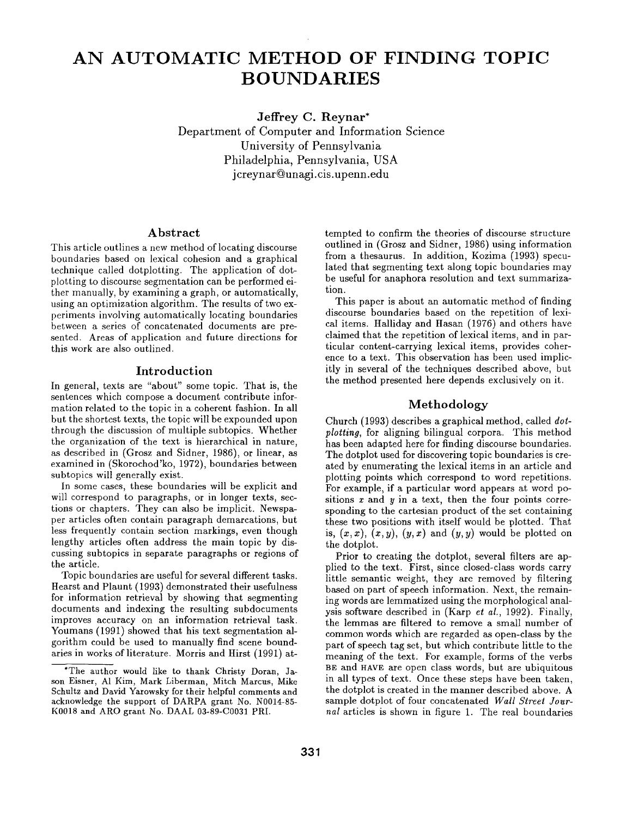# **AN AUTOMATIC METHOD OF FINDING TOPIC BOUNDARIES**

**Jeffrey C. Reynar\*** 

Department of Computer and Information Science University of Pennsylvania Philadelphia, Pennsylvania, USA j creynar@unagi.cis.upenn.edu

# **Abstract**

This article outlines a new method of locating discourse boundaries based on lexical cohesion and a graphical technique called dotplotting. The application of dotplotting to discourse segmentation can be performed either manually, by examining a graph, or automatically, using an optimization algorithm. The results of two experiments involving automatically locating boundaries between a series of concatenated documents are presented. Areas of application and future directions for this work are also outlined.

## Introduction

In general, texts are "about" some topic. That is, the sentences which compose a document contribute information related to the topic in a coherent fashion. In all but the shortest texts, the topic will be expounded upon through the discussion of multiple subtopics. Whether the organization of the text is hierarchical in nature, as described in (Grosz and Sidner, 1986), or linear, as examined in (Skorochod'ko, 1972), boundaries between subtopics will generally exist.

In some cases, these boundaries will be explicit and will correspond to paragraphs, or in longer texts, sections or chapters. They can also be implicit. Newspaper articles often contain paragraph demarcations, but less frequently contain section markings, even though lengthy articles often address the main topic by discussing subtopics in separate paragraphs or regions of the article.

Topic boundaries are useful for several different tasks. Hearst and Plaunt (1993) demonstrated their usefulness for information retrieval by showing that segmenting documents and indexing the resulting subdocuments improves accuracy on an information retrieval task. Youmans (1991) showed that his text segmentation algorithm could be used to manually find scene boundaries in works of literature. Morris and Hirst (1991) attempted to confirm the theories of discourse structure outlined in (Grosz and Sidner, 1986) using information from a thesaurus. In addition, Kozima (1993) speculated that segmenting text along topic boundaries may be useful for anaphora resolution and text summarization.

This paper is about an automatic method of finding discourse boundaries based on the repetition of lexical items. Halliday and Hasan (1976) and others have claimed that the repetition of lexical items, and in particular content-carrying lexical items, provides coherence to a text. This observation has been used implicitly in several of the techniques described above, but the method presented here depends exclusively on it.

# Methodology

Church (1993) describes a graphical method, called *dotplotting,* for aligning bilingual corpora. This method has been adapted here for finding discourse boundaries. The dotplot used for discovering topic boundaries is created by enumerating the lexical items in an article and plotting points which correspond to word repetitions. For example, if a particular word appears at word positions  $x$  and  $y$  in a text, then the four points corresponding to the cartesian product of the set containing these two positions with itself would be plotted. That is,  $(x, x)$ ,  $(x, y)$ ,  $(y, x)$  and  $(y, y)$  would be plotted on the dotplot.

Prior to creating the dotplot, several filters are applied to the text. First, since closed-class words carry little semantic weight, they are removed by filtering based on part of speech information. Next, the remaining words are lemmatized using the morphological analysis software described in (Karp *et al.,* 1992). Finally, the lemmas are filtered to remove a small number of common words which are regarded as open-class by the part of speech tag set, but which contribute little to the meaning of the text. For example, forms of the verbs BE and HAVE are open class words, but are ubiquitous in all types of text. Once these steps have been taken, the dotplot is created in the manner described above. A sample dotplot of four concatenated *Wall Street Journal* articles is shown in figure 1. The real boundaries

<sup>\*</sup>The author would like to thank Christy Doran, Jason Eisner, A1 Kim, Mark Liberman, Mitch Marcus, Mike Schultz and David Yarowsky for their helpful comments and acknowledge the support of DARPA grant No. N0014-85- K0018 and ARO grant No. DAAL 03~89-C0031 PRI.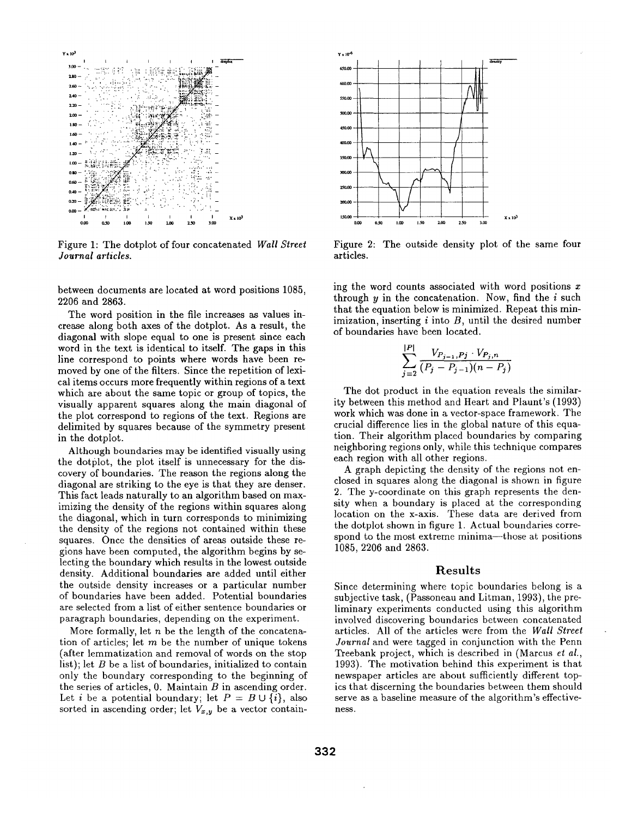

Figure 1: The dotplot of four concatenated Wall Street Journal articles.

between documents are located at word positions 1085, 2206 and 2863.

The word position in the file increases as values increase along both axes of the dotplot. As a result, the diagonal with slope equal to one is present since each word in the text is identical to itself. The gaps in this line correspond to points where words have been removed by one of the filters. Since the repetition of lexical items occurs more frequently within regions of a text which are about the same topic or group of topics, the visually apparent squares along the main diagonal of the plot correspond to regions of the text. Regions are delimited by squares because of the symmetry present in the dotplot.

Although boundaries may be identified visually using the dotplot, the plot itself is unnecessary for the discovery of boundaries. The reason the regions along the diagonal are striking to the eye is that they are denser. This fact leads naturally to an algorithm based on maximizing the density of the regions within squares along the diagonal, which in turn corresponds to minimizing the density of the regions not contained within these squares. Once the densities of areas outside these regions have been computed, the algorithm begins by selecting the boundary which results in the lowest outside density. Additional boundaries are added until either the outside density increases or a particular number of boundaries have been added. Potential boundaries are selected from a list of either sentence boundaries or paragraph boundaries, depending on the experiment.

More formally, let  $n$  be the length of the concatenation of articles; let  $m$  be the number of unique tokens (after lemmatization and removal of words on the stop list); let  $B$  be a list of boundaries, initialized to contain only the boundary corresponding to the beginning of the series of articles,  $0$ . Maintain  $B$  in ascending order. Let *i* be a potential boundary; let  $P = B \cup \{i\}$ , also sorted in ascending order; let  $V_{x,y}$  be a vector contain-



Figure 2: The outside density plot of the same four articles.

ing the word counts associated with word positions  $x$ through  $y$  in the concatenation. Now, find the  $i$  such that the equation below is minimized. Repeat this minimization, inserting  $i$  into  $B$ , until the desired number of boundaries have been located.

$$
\sum_{i=2}^{|P|} \frac{V_{P_{j-1},Pj} \cdot V_{P_j,n}}{(P_j - P_{j-1})(n - P_j)}
$$

The dot product in the equation reveals the similarity between this method and Heart and Plaunt's (1993) work which was done in a vector-space framework. The crucial difference lies in the global nature of this equation. Their algorithm placed boundaries by comparing neighboring regions only, while this technique compares each region with all other regions.

A graph depicting the density of the regions not enclosed in squares along the diagonal is shown in figure 2. The y-coordinate on this graph represents the density when a boundary is placed at the corresponding location on the x-axis. These data are derived from the dotplot shown in figure 1. Actual boundaries correspond to the most extreme minima—those at positions 1085, 2206 and 2863.

#### Results

Since determining where topic boundaries belong is a subjective task, (Passoneau and Litman, 1993), the preliminary experiments conducted using this algorithm involved discovering boundaries between concatenated articles. All of the articles were from the Wall Street Journal and were tagged in conjunction with the Penn Treebank project, which is described in (Marcus et al., 1993). The motivation behind this experiment is that newspaper articles are about sufficiently different topics that discerning the boundaries between them should serve as a baseline measure of the algorithm's effectiveness.